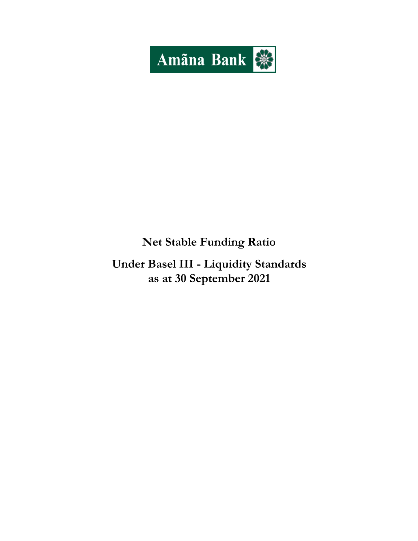

# **Net Stable Funding Ratio**

**Under Basel III - Liquidity Standards as at 30 September 2021**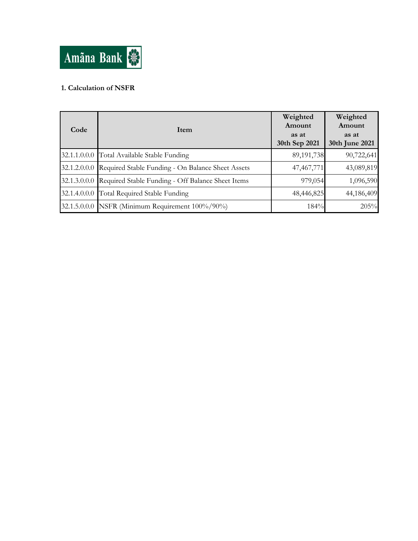

## **1. Calculation of NSFR**

| Code | Item                                                           | Weighted<br>Amount<br>as at<br>30th Sep 2021 | Weighted<br>Amount<br>as at<br>30th June 2021 |
|------|----------------------------------------------------------------|----------------------------------------------|-----------------------------------------------|
|      | 32.1.1.0.0.0 Total Available Stable Funding                    | 89,191,738                                   | 90,722,641                                    |
|      | 32.1.2.0.0.0 Required Stable Funding - On Balance Sheet Assets | 47,467,771                                   | 43,089,819                                    |
|      | 32.1.3.0.0.0 Required Stable Funding - Off Balance Sheet Items | 979,054                                      | 1,096,590                                     |
|      | 32.1.4.0.0.0 Total Required Stable Funding                     | 48,446,825                                   | 44,186,409                                    |
|      | 32.1.5.0.0.0 NSFR (Minimum Requirement 100%/90%)               | 184%                                         | 205%                                          |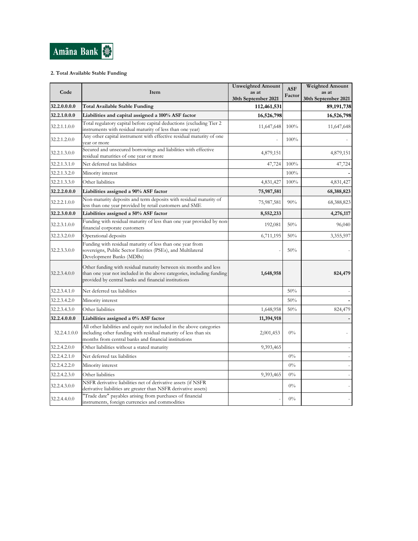

### **2. Total Available Stable Funding**

| Code         | Item                                                                                                                                                                                              | <b>Unweighted Amount</b><br>as at<br>30th September 2021 | <b>ASF</b><br>Factor | <b>Weighted Amount</b><br>as at<br>30th September 2021 |
|--------------|---------------------------------------------------------------------------------------------------------------------------------------------------------------------------------------------------|----------------------------------------------------------|----------------------|--------------------------------------------------------|
| 32.2.0.0.0.0 | Total Available Stable Funding                                                                                                                                                                    | 112,461,531                                              |                      | 89, 191, 738                                           |
| 32.2.1.0.0.0 | Liabilities and capital assigned a 100% ASF factor                                                                                                                                                | 16,526,798                                               |                      | 16,526,798                                             |
| 32.2.1.1.0.0 | Total regulatory capital before capital deductions (excluding Tier 2)<br>instruments with residual maturity of less than one year)                                                                | 11,647,648                                               | 100%                 | 11,647,648                                             |
| 32.2.1.2.0.0 | Any other capital instrument with effective residual maturity of one<br>vear or more                                                                                                              |                                                          | 100%                 |                                                        |
| 32.2.1.3.0.0 | Secured and unsecured borrowings and liabilities with effective<br>residual maturities of one year or more                                                                                        | 4,879,151                                                |                      | 4,879,151                                              |
| 32.2.1.3.1.0 | Net deferred tax liabilities                                                                                                                                                                      | 47,724                                                   | 100%                 | 47,724                                                 |
| 32.2.1.3.2.0 | Minority interest                                                                                                                                                                                 |                                                          | 100%                 |                                                        |
| 32.2.1.3.3.0 | Other liabilities                                                                                                                                                                                 | 4,831,427                                                | 100%                 | 4,831,427                                              |
| 32.2.2.0.0.0 | Liabilities assigned a 90% ASF factor                                                                                                                                                             | 75,987,581                                               |                      | 68,388,823                                             |
| 32.2.2.1.0.0 | Non-maturity deposits and term deposits with residual maturity of<br>less than one year provided by retail customers and SME                                                                      | 75,987,581                                               | 90%                  | 68,388,823                                             |
| 32.2.3.0.0.0 | Liabilities assigned a 50% ASF factor                                                                                                                                                             | 8,552,233                                                |                      | 4,276,117                                              |
| 32.2.3.1.0.0 | Funding with residual maturity of less than one year provided by non-<br>financial corporate customers                                                                                            | 192,081                                                  | 50%                  | 96,040                                                 |
| 32.2.3.2.0.0 | Operational deposits                                                                                                                                                                              | 6,711,195                                                | 50%                  | 3,355,597                                              |
| 32.2.3.3.0.0 | Funding with residual maturity of less than one year from<br>sovereigns, Public Sector Entities (PSEs), and Multilateral<br>Development Banks (MDBs)                                              |                                                          | 50%                  |                                                        |
| 32.2.3.4.0.0 | Other funding with residual maturity between six months and less<br>than one year not included in the above categories, including funding<br>provided by central banks and financial institutions | 1,648,958                                                |                      | 824,479                                                |
| 32.2.3.4.1.0 | Net deferred tax liabilities                                                                                                                                                                      |                                                          | 50%                  |                                                        |
| 32.2.3.4.2.0 | Minority interest                                                                                                                                                                                 |                                                          | 50%                  |                                                        |
| 32.2.3.4.3.0 | Other liabilities                                                                                                                                                                                 | 1,648,958                                                | 50%                  | 824,479                                                |
| 32.2.4.0.0.0 | Liabilities assigned a 0% ASF factor                                                                                                                                                              | 11,394,918                                               |                      |                                                        |
| 32.2.4.1.0.0 | All other liabilities and equity not included in the above categories<br>including other funding with residual maturity of less than six<br>months from central banks and financial institutions  | 2,001,453                                                | $0\%$                |                                                        |
| 32.2.4.2.0.0 | Other liabilities without a stated maturity                                                                                                                                                       | 9,393,465                                                |                      | $\overline{\phantom{a}}$                               |
| 32.2.4.2.1.0 | Net deferred tax liabilities                                                                                                                                                                      |                                                          | $0\%$                |                                                        |
| 32.2.4.2.2.0 | Minority interest                                                                                                                                                                                 |                                                          | $0\%$                |                                                        |
| 32.2.4.2.3.0 | Other liabilities                                                                                                                                                                                 | 9,393,465                                                | $0\%$                |                                                        |
| 32.2.4.3.0.0 | NSFR derivative liabilities net of derivative assets (if NSFR<br>derivative liabilities are greater than NSFR derivative assets)                                                                  |                                                          | $0\%$                |                                                        |
| 32.2.4.4.0.0 | "Trade date" payables arising from purchases of financial<br>instruments, foreign currencies and commodities                                                                                      |                                                          | $0\%$                |                                                        |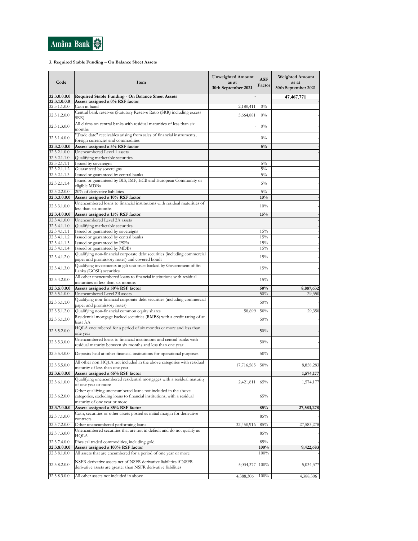

#### **3. Required Stable Funding – On Balance Sheet Assets**

| Code                         | Item                                                                                                                                                                    | <b>Unweighted Amount</b><br>as at<br>30th September 2021 | <b>ASF</b><br>Factor | <b>Weighted Amount</b><br>as at<br>30th September 2021 |
|------------------------------|-------------------------------------------------------------------------------------------------------------------------------------------------------------------------|----------------------------------------------------------|----------------------|--------------------------------------------------------|
| 32.3.0.0.0.0<br>32.3.1.0.0.0 | Required Stable Funding - On Balance Sheet Assets<br>Assets assigned a 0% RSF factor                                                                                    |                                                          |                      | <u>47,467,771</u>                                      |
| 32.3.1.1.0.0                 | Cash in hand                                                                                                                                                            | 2,180,411                                                | $0\%$                |                                                        |
| 32.3.1.2.0.0                 | Central bank reserves (Statutory Reserve Ratio (SRR) including excess<br>SRR)                                                                                           | 5,664,881                                                | $0\%$                |                                                        |
| 32.3.1.3.0.0                 | All claims on central banks with residual maturities of less than six<br>months                                                                                         |                                                          | $0\%$                |                                                        |
| 32.3.1.4.0.0                 | "Trade date" receivables arising from sales of financial instruments,<br>foreign currencies and commodities                                                             |                                                          | $0\%$                |                                                        |
| 32.3.2.0.0.0                 | Assets assigned a 5% RSF factor                                                                                                                                         |                                                          | $5\%$                |                                                        |
| 32.3.2.1.0.0                 | Unencumbered Level 1 assets                                                                                                                                             |                                                          |                      |                                                        |
| 32.3.2.1.1.0<br>32.3.2.1.1.1 | Qualifying marketable securities<br>Issued by sovereigns                                                                                                                |                                                          | $5\%$                |                                                        |
| 32.3.2.1.1.2                 | Guaranteed by sovereigns                                                                                                                                                |                                                          | $5\%$                |                                                        |
| 32.3.2.1.1.3                 | Issued or guaranteed by central banks                                                                                                                                   |                                                          | $5\%$                |                                                        |
| 32.3.2.1.1.4                 | Issued or guaranteed by BIS, IMF, ECB and European Community or<br>eligible MDBs                                                                                        |                                                          | $5\%$                |                                                        |
| 32.3.2.2.0.0                 | 20% of derivative liabilities                                                                                                                                           |                                                          | $5\%$                |                                                        |
| 32.3.3.0.0.0                 | Assets assigned a 10% RSF factor                                                                                                                                        |                                                          | 10%                  |                                                        |
| 32.3.3.1.0.0                 | Unencumbered loans to financial institutions with residual maturities of<br>less than six months                                                                        |                                                          | 10%                  |                                                        |
| 32.3.4.0.0.0                 | Assets assigned a 15% RSF factor                                                                                                                                        |                                                          | 15%                  |                                                        |
| 32.3.4.1.0.0                 | Unencumbered Level 2A assets<br>Qualifying marketable securities                                                                                                        |                                                          |                      |                                                        |
| 32.3.4.1.1.0<br>32.3.4.1.1.1 | Issued or guaranteed by sovereigns                                                                                                                                      |                                                          | 15%                  |                                                        |
| 32.3.4.1.1.2                 | Issued or guaranteed by central banks                                                                                                                                   |                                                          | 15%                  |                                                        |
| 32.3.4.1.1.3                 | Issued or guaranteed by PSEs                                                                                                                                            |                                                          | 15%                  |                                                        |
| 32.3.4.1.1.4                 | Issued or guaranteed by MDBs                                                                                                                                            |                                                          | 15%                  |                                                        |
| 32.3.4.1.2.0                 | Qualifying non-financial corporate debt securities (including commercial<br>paper and promissory notes) and covered bonds                                               |                                                          | 15%                  |                                                        |
| 32.3.4.1.3.0                 | Qualifying investments in gilt unit trust backed by Government of Sri<br>Lanka (GOSL) securities                                                                        |                                                          | 15%                  |                                                        |
| 32.3.4.2.0.0                 | All other unencumbered loans to financial institutions with residual<br>maturities of less than six months                                                              |                                                          | 15%                  |                                                        |
| 32.3.5.0.0.0                 | Assets assigned a 50% RSF factor                                                                                                                                        |                                                          | 50%                  | 8,887,632                                              |
| 32.3.5.1.0.0                 | Unencumbered Level 2B assets                                                                                                                                            |                                                          | 50%                  | 29,350                                                 |
| 32.3.5.1.1.0                 | Qualifying non-financial corporate debt securities (including commercial<br>paper and promissory notes)                                                                 |                                                          | 50%                  |                                                        |
| 32.3.5.1.2.0                 | Qualifying non-financial common equity shares<br>Residential mortgage backed securities (RMBS) with a credit rating of at                                               | 58,699                                                   | 50%                  | 29,350                                                 |
| 32.3.5.1.3.0                 | least AA<br>HQLA encumbered for a period of six months or more and less than                                                                                            |                                                          | 50%                  |                                                        |
| 32.3.5.2.0.0                 | one year                                                                                                                                                                |                                                          | 50%                  |                                                        |
| 32.3.5.3.0.0                 | Unencumbered loans to financial institutions and central banks with<br>residual maturity between six months and less than one year                                      |                                                          | 50%                  |                                                        |
| 32.3.5.4.0.0                 | Deposits held at other financial institutions for operational purposes                                                                                                  |                                                          | 50%                  |                                                        |
| 32.3.5.5.0.0                 | All other non HQLA not included in the above categories with residual<br>maturity of less than one year                                                                 | 17,716,565                                               | 50%                  | 8,858,283                                              |
| 32.3.6.0.0.0                 | Assets assigned a 65% RSF factor                                                                                                                                        |                                                          |                      | 1,574,177                                              |
| 32.3.6.1.0.0                 | Qualifying unencumbered residential mortgages with a residual maturity<br>of one year or more                                                                           | 2,421,811                                                | 65%                  | 1,574,177                                              |
| 32.3.6.2.0.0                 | Other qualifying unencumbered loans not included in the above<br>categories, excluding loans to financial institutions, with a residual<br>maturity of one year or more |                                                          | 65%                  |                                                        |
| 32.3.7.0.0.0                 | Assets assigned a 85% RSF factor                                                                                                                                        |                                                          | 85%                  | 27,583,278                                             |
| 32.3.7.1.0.0                 | Cash, securities or other assets posted as initial margin for derivative<br>contracts                                                                                   |                                                          | 85%                  |                                                        |
| 32.3.7.2.0.0                 | Other unencumbered performing loans                                                                                                                                     | 32,450,916                                               | 85%                  | 27,583,278                                             |
| 32.3.7.3.0.0                 | Unencumbered securities that are not in default and do not qualify as<br>HQLA                                                                                           |                                                          | 85%                  |                                                        |
| 32.3.7.4.0.0                 | Physical traded commodities, including gold                                                                                                                             |                                                          | 85%                  |                                                        |
| 32.3.8.0.0.0                 | Assets assigned a 100% RSF factor                                                                                                                                       |                                                          | 100%                 | 9,422,683                                              |
| 32.3.8.1.0.0                 | All assets that are encumbered for a period of one year or more<br>NSFR derivative assets net of NSFR derivative liabilities if NSFR                                    |                                                          | 100%                 |                                                        |
| 32.3.8.2.0.0                 | derivative assets are greater than NSFR derivative liabilities                                                                                                          | 5,034,377                                                | 100%                 | 5,034,377                                              |
| 32.3.8.3.0.0                 | All other assets not included in above                                                                                                                                  | 4,388,306                                                | 100%                 | 4,388,306                                              |